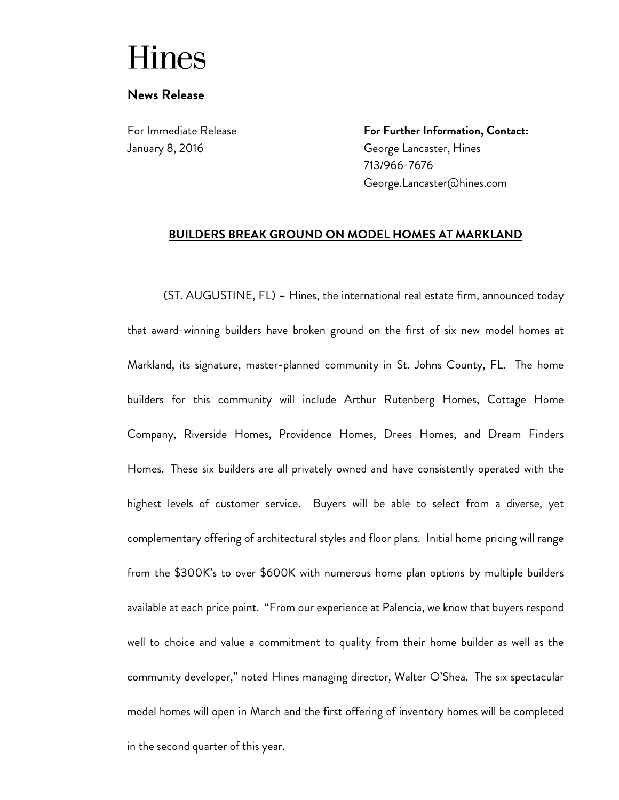## **Hines**

## **News Release**

For Immediate Release January 8, 2016

**For Further Information, Contact:** George Lancaster, Hines 713/966-7676 George.Lancaster@hines.com

## **BUILDERS BREAK GROUND ON MODEL HOMES AT MARKLAND**

(ST. AUGUSTINE, FL) – Hines, the international real estate firm, announced today that award-winning builders have broken ground on the first of six new model homes at Markland, its signature, master-planned community in St. Johns County, FL. The home builders for this community will include Arthur Rutenberg Homes, Cottage Home Company, Riverside Homes, Providence Homes, Drees Homes, and Dream Finders Homes. These six builders are all privately owned and have consistently operated with the highest levels of customer service. Buyers will be able to select from a diverse, yet complementary offering of architectural styles and floor plans. Initial home pricing will range from the \$300K's to over \$600K with numerous home plan options by multiple builders available at each price point. "From our experience at Palencia, we know that buyers respond well to choice and value a commitment to quality from their home builder as well as the community developer," noted Hines managing director, Walter O'Shea. The six spectacular model homes will open in March and the first offering of inventory homes will be completed in the second quarter of this year.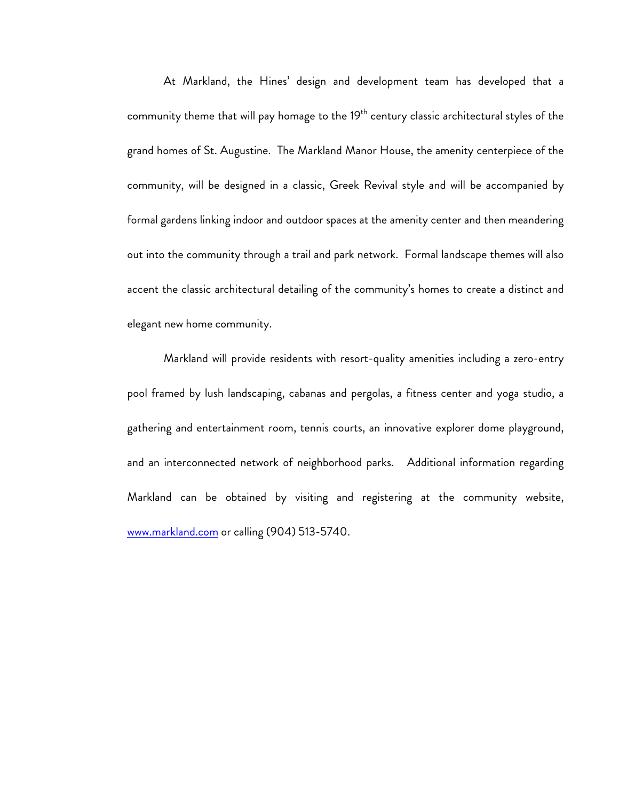At Markland, the Hines' design and development team has developed that a community theme that will pay homage to the 19<sup>th</sup> century classic architectural styles of the grand homes of St. Augustine. The Markland Manor House, the amenity centerpiece of the community, will be designed in a classic, Greek Revival style and will be accompanied by formal gardens linking indoor and outdoor spaces at the amenity center and then meandering out into the community through a trail and park network. Formal landscape themes will also accent the classic architectural detailing of the community's homes to create a distinct and elegant new home community.

Markland will provide residents with resort-quality amenities including a zero-entry pool framed by lush landscaping, cabanas and pergolas, a fitness center and yoga studio, a gathering and entertainment room, tennis courts, an innovative explorer dome playground, and an interconnected network of neighborhood parks. Additional information regarding Markland can be obtained by visiting and registering at the community website, www.markland.com or calling (904) 513-5740.